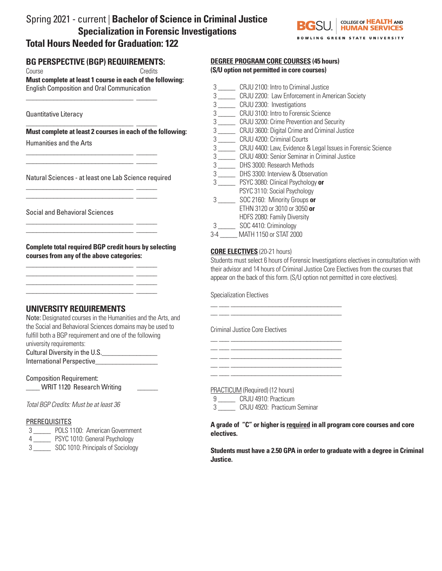# Spring 2021 - current | **Bachelor of Science in Criminal Justice Specialization in Forensic Investigations Total Hours Needed for Graduation: 122**



# **BG PERSPECTIVE (BGP) REQUIREMENTS:**

\_\_\_\_\_\_\_\_\_\_\_\_\_\_\_\_\_\_\_\_\_\_\_\_\_\_\_\_\_\_\_ \_\_\_\_\_\_

\_\_\_\_\_\_\_\_\_\_\_\_\_\_\_\_\_\_\_\_\_\_\_\_\_\_\_\_\_\_\_ \_\_\_\_\_\_

\_\_\_\_\_\_\_\_\_\_\_\_\_\_\_\_\_\_\_\_\_\_\_\_\_\_\_\_\_\_\_ \_\_\_\_\_\_ \_\_\_\_\_\_\_\_\_\_\_\_\_\_\_\_\_\_\_\_\_\_\_\_\_\_\_\_\_\_\_ \_\_\_\_\_\_

\_\_\_\_\_\_\_\_\_\_\_\_\_\_\_\_\_\_\_\_\_\_\_\_\_\_\_\_\_\_\_ \_\_\_\_\_\_ \_\_\_\_\_\_\_\_\_\_\_\_\_\_\_\_\_\_\_\_\_\_\_\_\_\_\_\_\_\_\_ \_\_\_\_\_\_

\_\_\_\_\_\_\_\_\_\_\_\_\_\_\_\_\_\_\_\_\_\_\_\_\_\_\_\_\_\_\_ \_\_\_\_\_\_ \_\_\_\_\_\_\_\_\_\_\_\_\_\_\_\_\_\_\_\_\_\_\_\_\_\_\_\_\_\_\_ \_\_\_\_\_\_

\_\_\_\_\_\_\_\_\_\_\_\_\_\_\_\_\_\_\_\_\_\_\_\_\_\_\_\_\_\_\_ \_\_\_\_\_\_  $\frac{1}{\sqrt{2}}$  ,  $\frac{1}{\sqrt{2}}$  ,  $\frac{1}{\sqrt{2}}$  ,  $\frac{1}{\sqrt{2}}$  ,  $\frac{1}{\sqrt{2}}$  ,  $\frac{1}{\sqrt{2}}$  ,  $\frac{1}{\sqrt{2}}$  ,  $\frac{1}{\sqrt{2}}$  ,  $\frac{1}{\sqrt{2}}$  ,  $\frac{1}{\sqrt{2}}$  ,  $\frac{1}{\sqrt{2}}$  ,  $\frac{1}{\sqrt{2}}$  ,  $\frac{1}{\sqrt{2}}$  ,  $\frac{1}{\sqrt{2}}$  ,  $\frac{1}{\sqrt{2}}$  $\mathcal{L}=\mathcal{L}^{\mathcal{L}}$  , where  $\mathcal{L}=\mathcal{L}^{\mathcal{L}}$ 

\_\_\_\_\_\_\_\_\_\_\_\_\_\_\_\_\_\_\_\_\_\_\_\_\_\_\_\_\_\_\_ \_\_\_\_\_\_

Course Credits

**Must complete at least 1 course in each of the following:**  English Composition and Oral Communication

Quantitative Literacy

**Must complete at least 2 courses in each of the following:**

Humanities and the Arts

Natural Sciences - at least one Lab Science required

Social and Behavioral Sciences

**Complete total required BGP credit hours by selecting courses from any of the above categories:**

# **UNIVERSITY REQUIREMENTS**

Note: Designated courses in the Humanities and the Arts, and the Social and Behavioral Sciences domains may be used to fulfill both a BGP requirement and one of the following university requirements: Cultural Diversity in the U.S.\_\_\_\_\_\_\_\_\_\_\_\_\_\_\_\_

International Perspective\_\_\_\_\_\_\_\_\_\_\_\_\_\_\_\_\_\_

Composition Requirement: \_\_\_\_ WRIT 1120 Research Writing \_\_\_\_\_\_

*Total BGP Credits: Must be at least 36*

#### PREREQUISITES

- 3 \_\_\_\_\_ POLS 1100: American Government
- 4 \_\_\_\_\_ PSYC 1010: General Psychology
- 3 \_\_\_\_\_ SOC 1010: Principals of Sociology

### **DEGREE PROGRAM CORE COURSES (45 hours) (S/U option not permitted in core courses)**

- 3 \_\_\_\_\_ CRJU 2100: Intro to Criminal Justice
- 3 \_\_\_\_\_ CRJU 2200: Law Enforcement in American Society
- 3 \_\_\_\_\_ CRJU 2300: Investigations
- 3 \_\_\_\_\_ CRJU 3100: Intro to Forensic Science
- 3 \_\_\_\_\_ CRJU 3200: Crime Prevention and Security
- 3 \_\_\_\_\_ CRJU 3600: Digital Crime and Criminal Justice
- 3 \_\_\_\_\_ CRJU 4200: Criminal Courts
- 3 \_\_\_\_\_ CRJU 4400: Law, Evidence & Legal Issues in Forensic Science
- 3 \_\_\_\_\_ CRJU 4800: Senior Seminar in Criminal Justice
- 3 \_\_\_\_\_ DHS 3000: Research Methods
- 3 \_\_\_\_\_ DHS 3300: Interview & Observation
- 3 \_\_\_\_\_ PSYC 3080: Clinical Psychology **or**
- PSYC 3110: Social Psychology
- 3 \_\_\_\_\_ SOC 2160: Minority Groups **or** ETHN 3120 or 3010 or 3050 **or**
- HDFS 2080: Family Diversity
- 3 \_\_\_\_\_ SOC 4410: Criminology
- 3-4 \_\_\_\_\_ MATH 1150 or STAT 2000

## **CORE ELECTIVES** (20-21 hours)

Students must select 6 hours of Forensic Investigations electives in consultation with their advisor and 14 hours of Criminal Justice Core Electives from the courses that appear on the back of this form. (S/U option not permitted in core electives).

Specialization Electives

Criminal Justice Core Electives

\_\_ \_\_\_ \_\_\_\_\_\_\_\_\_\_\_\_\_\_\_\_\_\_\_\_\_\_\_\_\_\_\_\_\_\_\_\_ \_\_ \_\_\_ \_\_\_\_\_\_\_\_\_\_\_\_\_\_\_\_\_\_\_\_\_\_\_\_\_\_\_\_\_\_\_\_

 $\frac{1}{1-\alpha}$  , and the set of the set of the set of the set of the set of the set of the set of the set of the set of the set of the set of the set of the set of the set of the set of the set of the set of the set of the s \_\_ \_\_\_ \_\_\_\_\_\_\_\_\_\_\_\_\_\_\_\_\_\_\_\_\_\_\_\_\_\_\_\_\_\_\_\_

\_\_ \_\_\_ \_\_\_\_\_\_\_\_\_\_\_\_\_\_\_\_\_\_\_\_\_\_\_\_\_\_\_\_\_\_\_\_ \_\_ \_\_\_ \_\_\_\_\_\_\_\_\_\_\_\_\_\_\_\_\_\_\_\_\_\_\_\_\_\_\_\_\_\_\_\_

PRACTICUM (Required) (12 hours)

9 **CRJU 4910: Practicum** 

3 \_\_\_\_\_ CRJU 4920: Practicum Seminar

**A grade of "C" or higher is required in all program core courses and core electives.**

**Students must have a 2.50 GPA in order to graduate with a degree in Criminal Justice.**